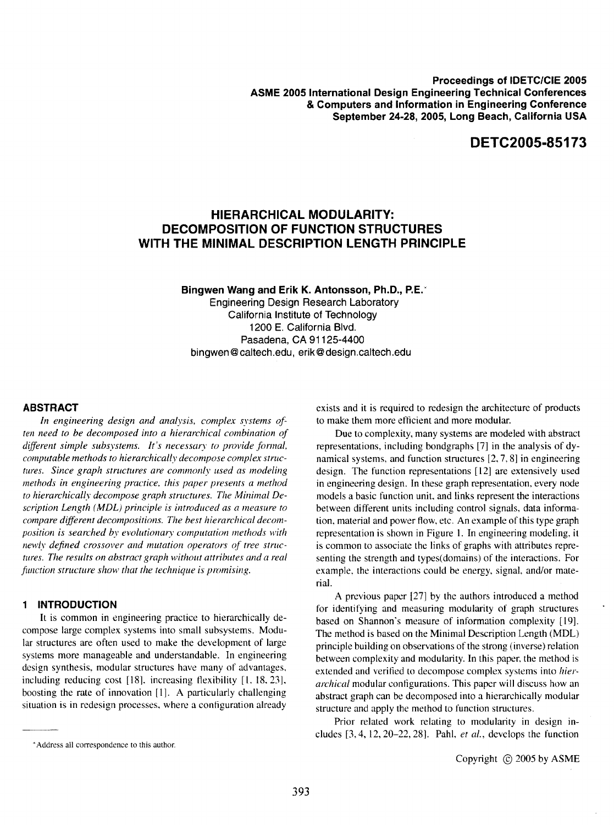**Proceedings of IDETC/CIE 2005 ASME 2005 International Design Engineering Technical Conferences & Computers and Information in Engineering Conference September 24-28,2005, Long Beach, California USA** 

# **DETC2005·85173**

## **HIERARCHICAL MODULARITY: DECOMPOSITION OF FUNCTION STRUCTURES WITH THE MINIMAL DESCRIPTION LENGTH PRINCIPLE**

**Bingwen Wang and Erik K. Antonsson, Ph.D.,** P.E.' Engineering Design Research Laboratory California Institute of Technology 1200 E. California Blvd. Pasadena, CA 91125-4400 bingwen@caltech.edu, erik@design.caltech.edu

### **ABSTRACT**

*In engineering design and analysis. complex systems often need to be decomposed into a hierarchical combination of different simple subsystems. It's necessary to provide fonnal. computable methods to hierarchically decompose complex structures. Since graph structures are commonly used as modeling methods in engineering practice. this paper presents a method to hierarchically decompose graph structures. The Minimal Description Length (MDL) principle is introduced as a measure to compare different decompositions. The best hierarchical decomposition is searched by evolutionary computation methods with newly defined crossover and mutation operators of tree structures. The results on abstract graph without attributes and a real function structure show that the technique is promising.* 

## **INTRODUCTION**

It is common in engineering practice to hierarchically decompose large complex systems into small subsystems. Modular structures are often used to make the development of large systems more manageable and understandable. In engineering design synthesis. modular structures have many of advantages. induding reducing cost [181. increasing flexibility [1. 18.23], boosting the rate of innovation [1]. A particularly challenging situation is in redesign processes. where a configuration already

exists and it is required to redesign the architecture of products to make them more efficient and more modular.

Due to complexity, many systems are modeled with abstract representations, including bondgraphs [7] in the analysis of dynamical systems, and function structures [2,7,8] in engineering design. The function representations [12] are extensively used in engineering design. In these graph representation, every node models a basic function unit. and links represent the interactions between different units including control signals, data information, material and power flow, etc. An example of this type graph representation is shown in Figure 1. In engineering modeling, it is common to associate the links of graphs with attributes representing the strength and types(domains) of the interactions. For example. the interactions could be energy. signal. and/or materiaL

A previous paper [27] by the authors introduced a method for identifying and measuring modularity of graph structures based on Shannon's measure of information complexity [19]. The method is based on the Minimal Description Length (MDL) principle building on observations of the strong (inverse) relation between complexity and modularity. In this paper, the method is extended and verified to decompose complex systems into *hierarchical* modular configurations. This paper will discuss how an abstract graph can be decomposed into a hierarchically modular structure and apply the method to function structures.

Prior related work relating to modularity in design includes [3,4, 12,20-22,28]. Pahl, *et al.,* develops the function

<sup>\*</sup> Address all correspondence to this author.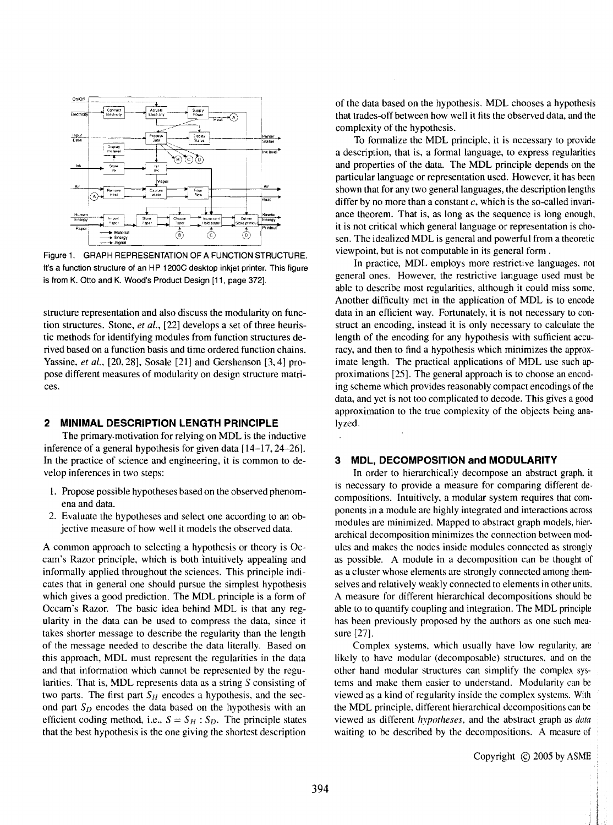

Figure 1. GRAPH REPRESENTATION OF A FUNCTION STRUCTURE. It's a function structure of an HP 1200C desktop inkjet printer. This figure is from K. Otto and K. Wood's Product Design [11, page 372].

structure representation and also discuss the modularity on function structures. Stone, *et aI.,* [22] develops a set of three heuristic methods for identifying modules from function structures derived based on a function basis and time ordered function chains. Yassine, *et al.,* [20,28], Sosale [21] and Gershenson [3,4] propose different measures of modularity on design structure matrices.

### **2 MINIMAL DESCRIPTION LENGTH PRINCIPLE**

The primary. motivation for relying on MDL is the inductive inference of a general hypothesis for given data [14-17, 24-26]. In the practice of science and engineering, it is common to develop inferences in two steps:

- I. Propose possible hypotheses based on the observed phenomena and data.
- 2. Evaluate the hypotheses and select one according to an objective measure of how well it models the observed data.

A common approach to selecting a hypothesis or theory is Occam's Razor principle, which is both 'intuitively appealing and informally applied throughout the sciences. This principle indicates that in general one should pursue the simplest hypothesis which gives a good prediction. The MDL principle is a form of Occam's Razor. The basic idea behind MDL is that any regularity in the data can be used to compress the data, since it takes shorter message to describe the regularity than the length of the message needed to describe the data literally. Based on this approach. MDL must represent the regularities in the data and that information which cannot be represented by the regularities. That is, MDL represents data as a string S consisting of two parts. The first part  $S_H$  encodes a hypothesis, and the second part *So* encodes the data based on the hypothesis with an efficient coding method, i.e.,  $S = S_H : S_D$ . The principle states that the best hypothesis is the one giving the shortest description

of the data based on the hypothesis. MDL chooses a hypothesis that trades-off between how well it fits the observed data, and the complexity of the hypothesis.

To formalize the MDL principle, it is necessary to provide a description, that is, a formal language, to express regularities and properties of the data. The MDL principle depends on the particular language or representation used. However, it has been shown that for any two general languages, the description lengths differ by no more than a constant  $c$ , which is the so-called invariance theorem. That is, as long as the sequence is long enough, it is not critical which general language or representation is chosen. The idealized MDL is general and powerful from a theoretic viewpoint, but is not computable in its general form .

In practice, MDL employs more restrictive languages. not general ones. However, the restrictive language used must be able to describe most regularities, although it could miss some. Another difficulty met in the application of MDL is to encode data in an efficient way. Fortunately, it is not necessary to construct an encoding, instead it is only necessary to calculate the length of the encoding for any hypothesis with sufficient accuracy, and then to find a hypothesis which minimizes the approximate length. The practical applications of MDL use such approximations [25]. The general approach is to choose an encoding scheme which provides reasonably compact encodings of the data, and yet is not too complicated to decode. This gives a good approximation to the true complexity of the objects being analyzed.

## 3 **MOL, DECOMPOSITION and MODULARITY**

In order to hierarchically decompose an abstract graph. it is necessary to provide a measure for comparing different decompositions. Intuitively. a modular system requires that components in a module are highly integrated and interactions across modules are minimized. Mapped to abstract graph models, hierarchical decomposition minimizes the connection between modules and makes the nodes inside modules connected as strongly as possible. A module in a decomposition can be thought of as a cluster whose elements are strongly connected among themselves and relatively weakly connected to elements in other units. A measure for different hierarchical decompositions should be able to to quantify coupling and integration. The MDL principle has been previously proposed by the authors as one such measure [27].

Complex systems. which usually have low regularity. are likely to have modular (decomposable) structures, and on the other hand modular structures can simplify the complex systems and make them easier to understand. Modularity can be viewed as a kind of regularity inside the complex systems. With the MDL principle. different hierarchical decompositions can be viewed as different *hypotheses,* and the abstract graph as *data*  waiting to be described by the decompositions. A measure of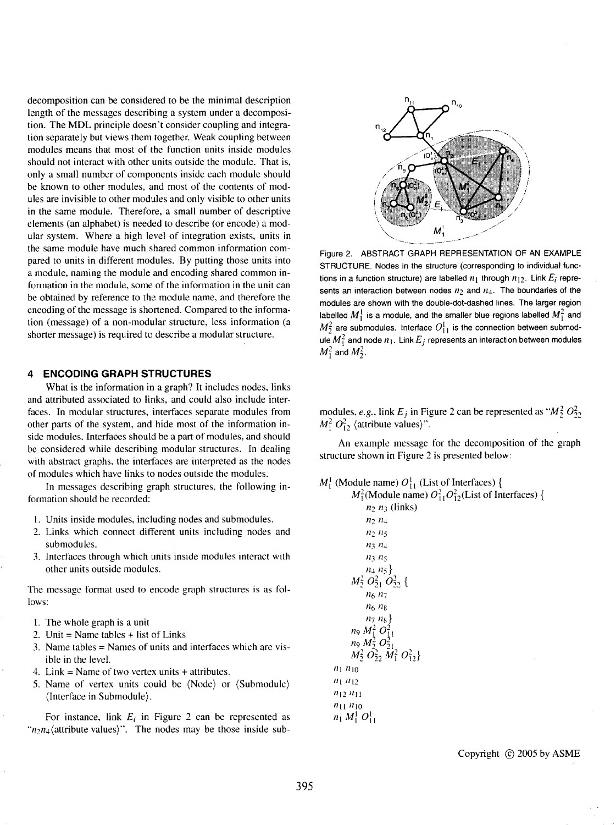decomposition can be considered to be the minimal description length of the messages describing a system under a decomposition. The MDL principle doesn't consider coupling and integration separately but views them together. Weak coupling between modules means that most of the function units inside modules should not interact with other units outside the module. That is, only a small number of components inside each module should be known to other modules, and most of the contents of modules are invisible to other modules and only visible to other units in the same module. Therefore, a small number of descriptive elements (an alphabet) is needed to describe (or encode) a modular system. Where a high level of integration exists, units in the same module have much shared common information compared to units in different modules. By putting those units into a module, naming the module and encoding shared common information in the module, some of the information in the unit can be obtained by reference to the module name, and therefore the encoding of the message is shortened. Compared to the information (message) of a non-modular structure, less information (a shorter message) is required to describe a modular structure.

#### **4 ENCODING GRAPH STRUCTURES**

What is the information in a graph? It includes nodes, links and attributed associated to links, and could also include interfaces. In modular structures, interfaces separate modules from other parts of the system, and hide most of the information inside modules. Interfaces should be a part of modules, and should be considered while describing modular structures. In dealing with abstract graphs, the interfaces are interpreted as the nodes of modules which have links to nodes outside the modules.

In messages describing graph structures, the following information should be recorded:

- I. Units inside modules, including nodes and submodules.
- 2. Links which connect different units including nodes and submodules.
- 3. Interfaces through which units inside modules interact with other units outside modules.

The message format used to encode graph structures is as follows:

- 1. The whole graph is a unit
- 2. Unit  $=$  Name tables  $+$  list of Links
- 3. Name tables = Names of units and interfaces which are visible in the level.
- 4. Link = Name of two vertex units + attributes.
- 5. Name of vertex units could be (Node) or (Submodule) (Interface in Submodule).

For instance, link  $E_i$  in Figure 2 can be represented as " $n_2n_4$ (attribute values)". The nodes may be those inside sub-



Figure 2. ABSTRACT GRAPH REPRESENTATION OF AN EXAMPLE STRUCTURE. Nodes in the structure (corresponding to individual func· tions in a function structure) are labelled  $n_1$  through  $n_{12}$ . Link  $E_i$  represents an interaction between nodes  $n_2$  and  $n_4$ . The boundaries of the modules are shown with the double-dot-dashed lines. The larger region labelled  $M_1^1$  is a module, and the smaller blue regions labelled  $M_1^2$  and  $M_2^2$  are submodules. Interface  $O_{11}^1$  is the connection between submodule  $M_1^2$  and node  $n_1$ . Link  $E_j$  represents an interaction between modules  $M_1^2$  and  $M_2^2$ .

modules, *e.g.*, link  $E_j$  in Figure 2 can be represented as " $M_2^2 O_{22}^2$  $M_1^2 O_{12}^2$  (attribute values)".

An example message for the decomposition of the graph structure shown in Figure 2 is presented below:

## $M_1^1$  (Module name)  $O_{11}^1$  (List of Interfaces) {

 $M_1^2$ (Module name)  $O_{11}^2O_{12}^2$ (List of Interfaces) {  $n_2$   $n_3$  (links)  $n_2 n_4$  $n_2 n_5$  $n_3$ , $n_4$  $n_3 n_5$ 114 *115}*   $M_2^2 O_{21}^2 O_{22}^2$  { *116 117 116 <sup>11</sup> 8 <sup>117</sup> <sup>11</sup> g} n*<sub>9</sub>  $M_1^2 O_{11}^2$ *n*<sub>9</sub> $M_2^2O_2^2$ .  $M_2^2 O_2^2$ ,  $M_1^2 O_{12}^2$  $n_1 n_{10}$  $n_1 n_{12}$  $n_{12} n_{11}$  $n_{11} n_{10}$  $n_1 M_1^1 O_{11}^1$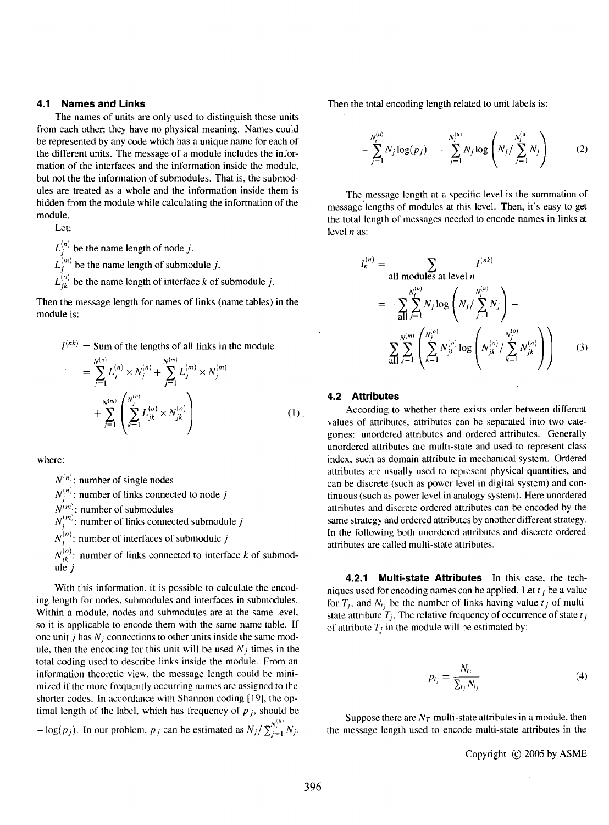## **4.1 Names and Links**

The names of units are only used to distinguish those units from each other; they have no physical meaning. Names could be represented by any code which has a unique name for each of the different units. The message of a module includes the information of the interfaces and the information inside the module, but not the the information of submodules. That is, the submodules are treated as a whole and the information inside them is hidden from the module while calculating the information of the module.

Let:

 $L_i^{(n)}$  be the name length of node j.  $L_i^{(m)}$  be the name length of submodule j.  $L_{ik}^{(o)}$  be the name length of interface k of submodule j.

Then the message length for names of links (name tables) in the module is:

$$
I^{(nk)} = \text{Sum of the lengths of all links in the module}
$$

$$
= \sum_{j=1}^{N^{(n)}} L_j^{(n)} \times N_j^{(n)} + \sum_{j=1}^{N^{(m)}} L_j^{(m)} \times N_j^{(m)} + \sum_{j=1}^{N^{(m)}} \left( \sum_{k=1}^{N_j^{(n)}} L_{jk}^{(o)} \times N_{jk}^{(o)} \right)
$$
(1).

where:

 $N^{(n)}$ : number of single nodes  $N_i^{(n)}$ : number of links connected to node j  $N^{(m)}$ : number of submodules  $N_i^{(m)}$ : number of links connected submodule j  $N_i^{(o)}$ : number of interfaces of submodule j  $N_{ik}^{(o)}$ : number of links connected to interface *k* of submodule  $i$ 

With this information, it is possible to calculate the encoding length for nodes. submodules and interfaces in submodules. Within a module, nodes and submodules are at the same level. so it is applicable to encode them with the same name table. If one unit j has  $N_i$  connections to other units inside the same module, then the encoding for this unit will be used  $N_j$  times in the total coding used to describe links inside the module. From an information theoretic view. the message length could be minimized if the more frequently occurring names are assigned to the shorter codes. In accordance with Shannon coding [19]. the optimal length of the label, which has frequency of  $p_i$ , should be

 $-\log(p_i)$ . In our problem,  $p_i$  can be estimated as  $N_j / \sum_{i=1}^{N_i^{(u)}} N_j$ .

Then the total encoding length related to unit labels is:

$$
-\sum_{j=1}^{N_i^{(u)}} N_j \log(p_j) = -\sum_{j=1}^{N_i^{(u)}} N_j \log \left( N_j / \sum_{j=1}^{N_i^{(u)}} N_j \right) \tag{2}
$$

The message length at a specific level is the summation of message lengths of modules at this level. Then, it's easy to get the total length of messages needed to encode names in links at level *n* as:

$$
I_n^{(n)} = \sum_{\text{all modules at level } n} I^{(nk)} \\
= - \sum_{\text{all } j=1}^{N_i^{(u)}} N_j \log \left( N_j / \sum_{j=1}^{N_j^{(u)}} N_j \right) - \\
\sum_{\text{all } j=1}^{N_j^{(m)}} \left( \sum_{k=1}^{N_j^{(o)}} N_{jk}^{(o)} \log \left( N_{jk}^{(o)} / \sum_{k=1}^{N_j^{(o)}} N_{jk}^{(o)} \right) \right)
$$
(3)

#### **4.2 Attributes**

According to whether there exists order between different values of attributes, attributes can be separated into two categories: unordered attributes and ordered attributes. Generally unordered attributes are multi-state and used to represent class index, such as domain attribute in mechanical system. Ordered attributes are usually used to represent physical quantities, and can be discrete (such as power level in digital system) and continuous (such as power level in analogy system). Here unordered attributes and discrete ordered attributes can be encoded by the same strategy and ordered attributes by another different strategy. In the following both unordered attributes and discrete ordered attributes are called multi-state attributes.

**4.2.1 Multi-state Attributes** In this case, the techniques used for encoding names can be applied. Let  $t_i$  be a value for  $T_i$ , and  $N_i$  be the number of links having value  $t_i$  of multistate attribute  $T_i$ . The relative frequency of occurrence of state  $t_j$ of attribute  $T_j$  in the module will be estimated by:

$$
p_{t_j} = \frac{N_{t_j}}{\sum_{l_j} N_{t_j}}\tag{4}
$$

Suppose there are  $N_T$  multi-state attributes in a module, then the message length used to encode multi-state attributes in the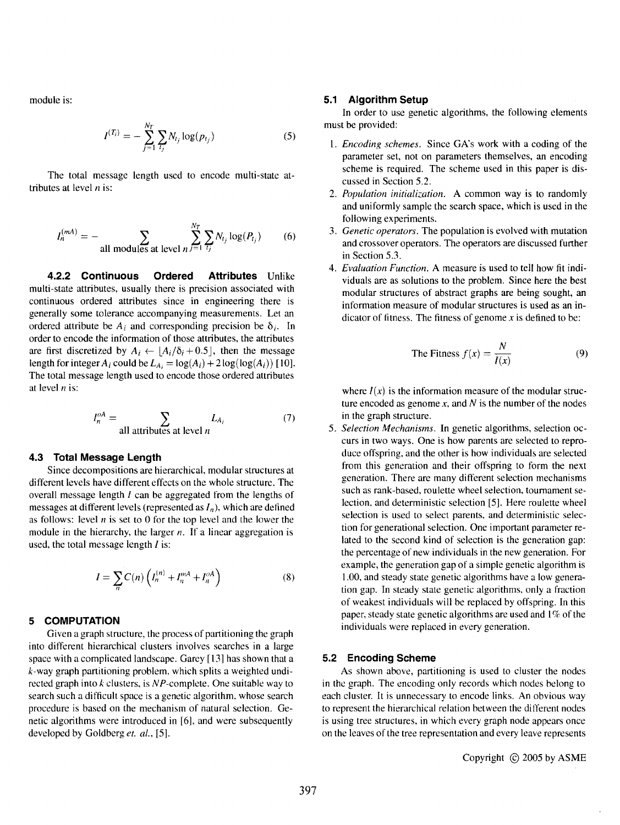module is:

$$
I^{(T_i)} = -\sum_{j=1}^{N_T} \sum_{i_j} N_{t_j} \log(p_{t_j})
$$
 (5)

The total message length used to encode multi-state attributes at level *n* is:

$$
I_n^{(mA)} = -\sum_{\text{all modules at level } n} \sum_{j=1}^{N_T} \sum_{i_j} N_{t_j} \log(P_{t_j}) \tag{6}
$$

**4.2.2 Continuous Ordered Attributes** Unlike multi-state attributes, usually there is precision associated with continuous ordered attributes since in engineering there is generally some tolerance accompanying measurements. Let an ordered attribute be  $A_i$  and corresponding precision be  $\delta_i$ . In order to encode the information of those attributes, the attributes are first discretized by  $A_i \leftarrow |A_i/\delta_i + 0.5|$ , then the message length for integer  $A_i$  could be  $L_{A_i} = \log(A_i) + 2\log(\log(A_i))$  [10]. The total message length used to encode those ordered attributes at level  $n$  is:

$$
I_n^{oA} = \sum_{\text{all attributes at level } n} L_{A_i}
$$
 (7)

#### **4.3 Total Message Length**

Since decompositions are hierarchical, modular structures at different levels have different effects on the whole structure. The overall message length  $I$  can be aggregated from the lengths of messages at different levels (represented as  $I_n$ ), which are defined as follows: level *n* is set to 0 for the top level and the lower the module in the hierarchy, the larger *n*. If a linear aggregation is used, the total message length  $I$  is:

$$
I = \sum_{n} C(n) \left( I_n^{(n)} + I_n^{mA} + I_n^{oA} \right) \tag{8}
$$

## **5 COMPUTATION**

Given a graph structure, the process of partitioning the graph into different hierarchical clusters involves searches in a large space with a complicated landscape. Garey [13] has shown that a k-way graph partitioning problem. which splits a weighted undirected graph into *k* clusters. is *N P-complcte.* One suitable way to search such a difficult space is a genetic algorithm. whose search procedure is based on the mechanism of natural selection. Genetic algorithms were introduced in [6], and were subsequently developed by Goldberg *et. aI., [5].* 

#### **5.1 Algorithm Setup**

In order to use genetic algorithms, the following elements must be provided:

- *1. Encoding schemes.* Since GA's work with a coding of the parameter set, not on parameters themselves, an encoding scheme is required. The scheme used in this paper is discussed in Section 5.2.
- *2. Population initialization.* A common way is to randomly and uniformly sample the search space, which is used in the following experiments.
- *3. Genetic operators.* The population is evolved with mutation and crossover operators. The operators are discussed further in Section 5.3.
- 4. *Evaluation Function.* A measure is used to tell how fit individuals are as solutions to the problem. Since here the best modular structures of abstract graphs are being sought, an information measure of modular structures is used as an indicator of fitness. The fitness of genome *x* is defined to be:

The Fitness 
$$
f(x) = \frac{N}{I(x)}
$$
 (9)

where  $I(x)$  is the information measure of the modular structure encoded as genome *x,* and *N* is the number of the nodes in the graph structure.

*5. Selection Mechanisms.* **In** genetic algorithms, selection occurs in two ways. One is how parents are selected to reproduce offspring, and the other is how individuals are selected from this generation and their offspring to form the next generation. There are many different selection mechanisms such as rank-based, roulette wheel selection, tournament selection. and deterministic selection [5]. Here roulette wheel selection is used to select parents, and deterministic selection for generational selection. One important parameter related to the second kind of selection is the generation gap: the percentage of new individuals in the new generation. For example, the generation gap of a simple genetic algorithm is 1.00, and steady state genetic algorithms have a low generation gap. In steady state genetic algorithms. only a fraction of weakest individuals will be replaced by offspring. In this paper, steady state genetic algorithms are used and 1% of the individuals were replaced in every generation.

#### **5.2 Encoding Scheme**

As shown above, partitioning is used to cluster the nodes in the graph. The encoding only records which nodes belong to each cluster. It is unnecessary to encode links. An obvious way to represent the hierarchical relation between the different nodes is using tree structures. in which every graph node appears once on the leaves of the tree representation and every leave represents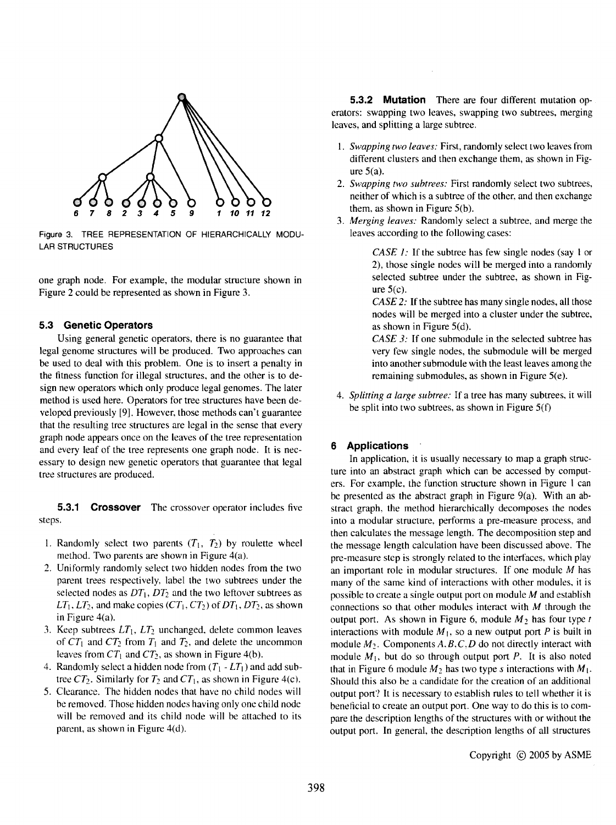

Figure 3. TREE REPRESENTATION OF HIERARCHICALLY MODU-LAR STRUCTURES

one graph node. For example, the modular structure shown in Figure 2 could be represented as shown in Figure 3.

### **5.3 Genetic Operators**

Using general genetic operators, there is no guarantee that legal genome structures will be produced. Two approaches can be used to deal with this problem. One is to insert a penalty in the fitness function for illegal structures, and the other is to design new operators which only produce legal genomes. The later method is used here. Operators for tree structures have been developed previously [9]. However, those methods can't guarantee that the resulting tree structures are legal in the sense that every graph node appears once on the leaves of the tree representation and every leaf of the tree represents one graph node. It is necessary to design new genetic operators that guarantee that legal tree structures are produced.

**5.3.1 Crossover** The crossover operator includes five steps.

- 1. Randomly select two parents  $(T_1, T_2)$  by roulette wheel method. Two parents are shown in Figure 4(a).
- 2. Uniformly randomly select two hidden nodes from the two parent trees respectively, label the two subtrees under the selected nodes as  $DT_1$ ,  $DT_2$  and the two leftover subtrees as  $LT_1$ ,  $LT_2$ , and make copies ( $CT_1$ ,  $CT_2$ ) of  $DT_1$ ,  $DT_2$ , as shown in Figure 4(a).
- 3. Keep subtrees  $LT_1$ ,  $LT_2$  unchanged, delete common leaves of  $CT_1$  and  $CT_2$  from  $T_1$  and  $T_2$ , and delete the uncommon leaves from  $CT_1$  and  $CT_2$ , as shown in Figure 4(b).
- 4. Randomly select a hidden node from  $(T_1 LT_1)$  and add subtree  $CT_2$ . Similarly for  $T_2$  and  $CT_1$ , as shown in Figure 4(c).
- 5. Clearance. The hidden nodes that have no child nodes will be removed. Those hidden nodes having only one child node will be removed and its child node will be attached to its parent, as shown in Figure 4(d).

**5.3.2 Mutation** There are four different mutation operators: swapping two leaves, swapping two subtrees, merging leaves, and splitting a large subtree.

- l. *Swapping two leaves:* First, randomly select two leaves from different clusters and then exchange them, as shown in Figure  $5(a)$ .
- *2. Swapping two subtrees:* First randomly select two subtrees. neither of which is a subtree of the other, and then exchange them, as shown in Figure  $5(b)$ .
- *3. Merging leaves:* Randomly select a subtree, and merge the leaves according to the following cases:

*CASE 1:* If the subtree has few single nodes (say 1 or 2), those single nodes will be merged into a randomly selected subtree under the subtree, as shown in Figure  $5(c)$ .

*CASE 2:* If the subtree has many single nodes, all those nodes will be merged into a cluster under the subtree, as shown in Figure  $5(d)$ .

*CASE 3:* If one submodule in the selected subtree has very few single nodes, the submodule will be merged into another submodule with the least leaves among the remaining submodules, as shown in Figure  $5(e)$ .

*4. Splitting a large subtree:* If a tree has many subtrees. it will be split into two subtrees, as shown in Figure S(f)

## **6 Applications**

In application, it is usually necessary to map a graph structure into an abstract graph which can be accessed by computers. For example, the function structure shown in Figure I can be presented as the abstract graph in Figure 9(a). With an abstract graph. the method hierarchically decomposes the nodes into a modular structure, performs a pre-measure process, and then calculates the message length. The decomposition step and the message length calculation have been discussed above. The pre-measure step is strongly related to the interfaces, which play an important role in modular structures. If one module *M* has many of the same kind of interactions with other modules. it is possible to create a single output port on module M and establish connections so that other modules interact with  $M$  through the output port. As shown in Figure 6, module  $M_2$  has four type  $t$ interactions with module  $M_1$ , so a new output port P is built in module  $M_2$ . Components A, B, C, D do not directly interact with module  $M_1$ , but do so through output port P. It is also noted that in Figure 6 module  $M_2$  has two type *s* interactions with  $M_1$ . Should this also be a candidate for the creation of an additional output port? It is necessary to establish rules to tell whether it is beneficial to create an output port. One way to do this is to compare the description lengths of the structures with or without the output port. In general, the description lengths of all structures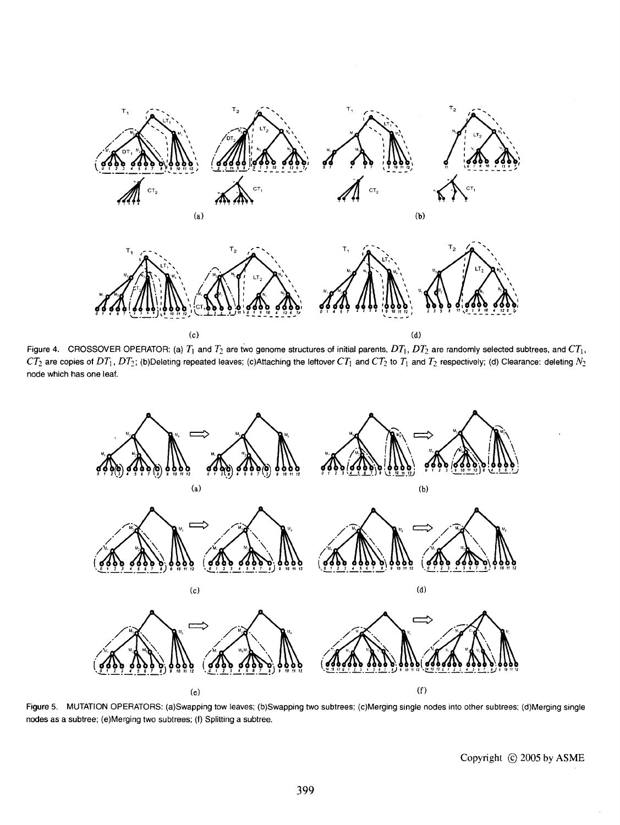

Figure 4. CROSSOVER OPERATOR: (a)  $T_1$  and  $T_2$  are two genome structures of initial parents,  $DT_1$ ,  $DT_2$  are randomly selected subtrees, and  $CT_1$ ,  $CT_2$  are copies of  $DT_1$ ,  $DT_2$ ; (b)Deleting repeated leaves; (c)Attaching the leftover  $CT_1$  and  $CT_2$  to  $T_1$  and  $T_2$  respectively; (d) Clearance: deleting  $N_2$ node which has one leaf.



Figure 5. MUTATION OPERATORS: (a)Swapping tow leaves; (b)Swapping two subtrees; (c)Merging single nodes into other subtrees; (d)Merging single nodes as a subtree; (e)Merging two subtrees; (f) Splitting a subtree.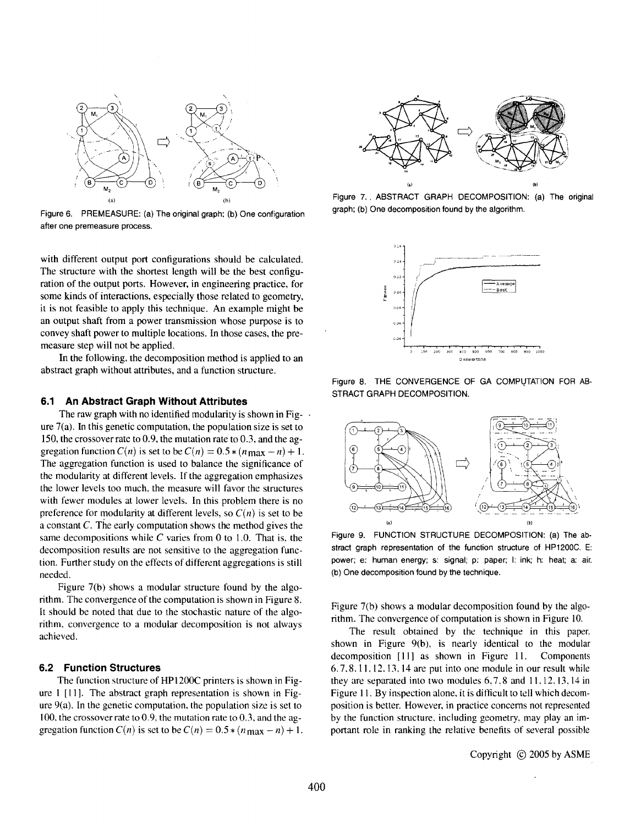

Figure 6. PREMEASURE: (a) The original graph; (b) One configuration after one premeasure process.

with different output port configurations should be calculated. The structure with the shortest length will be the best configuration of the output ports. However, in engineering practice, for some kinds of interactions, especially those related to geometry, it is not feasible to apply this technique. An example might be an output shaft from a power transmission whose purpose is to convey shaft power to multiple locations. In those cases, the premeasure step will not be applied.

In the following, the decomposition method is applied to an abstract graph without attributes, and a function structure.

#### **6.1 An Abstract Graph Without Attributes**

The raw graph with no identified modularity is shown in Fig- $\cdot$ ure 7(a). In this genetic computation, the population size is set to 150, the crossover rate to 0.9, the mutation rate to 0.3, and the aggregation function  $C(n)$  is set to be  $C(n) = 0.5 * (n \max - n) + 1$ . The aggregation function is used to balance the significance of the modularity at different levels. If the aggregation emphasizes the lower levels too much. the measure will favor the structures with fewer modules at lower levels. In this problem there is no preference for modularity at different levels, so  $C(n)$  is set to be a constant C. The early computation shows the method gives the same decompositions while C varies from 0 to 1.0. That is, the decomposition results are not sensitive to the aggregation function. Further study on the effects of different aggregations is still needed.

Figure 7(b) shows a modular structure found by the algorithm. The convergence of the computation is shown in Figure 8. It should be noted that due to the stochastic nature of the algorithm, convergence to a modular decomposition is not always achieved.

### **6.2 Function Structures**

The function structure of HP 1200C printers is shown in Figure 1 [Ill. The abstract graph representation is shown in Figure  $9(a)$ . In the genetic computation, the population size is set to 100, the crossover rate to 0.9, the mutation rate to 0.3. and the aggregation function  $C(n)$  is set to be  $C(n) = 0.5 * (n_{\text{max}} - n) + 1$ .



Figure 7.. ABSTRACT GRAPH DECOMPOSITION: (a) The original graph; (b) One decomposition found by the algorithm.







Figure 9. FUNCTION STRUCTURE DECOMPOSITION: (a) The abstract graph representation of the function structure of HP 1200C. E: power; e: human energy; s: signal; p: paper; I: ink; h: heat; a: air. (b) One decomposition found by the technique.

Figure 7(b) shows a modular decomposition found by the algorithm. The convergence of computation is shown in Figure 10.

The result obtained by the technique in this paper. shown in Figure 9(b), is nearly identical to the modular decomposition [II] as shown in Figure 11. Components 6.7.8.11. 12. 13. 14 are put into one module in our result while they are separated into two modules 6.7.8 and II. 12. 13. 14 in Figure 11. By inspection alone, it is difficult to tell which decomposition is better. However. in practice concerns not represented by the function structure. including geometry, may play an important role in ranking the relative benefits of several possible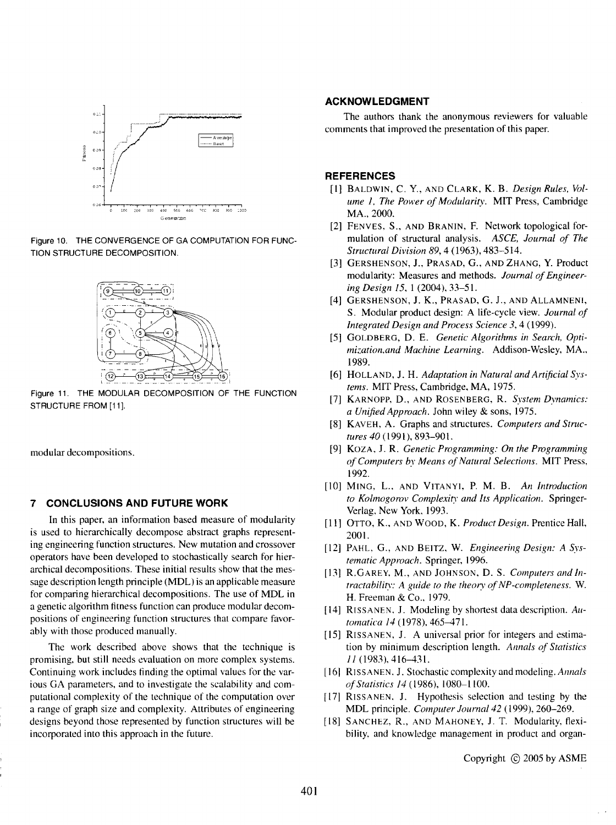

Figure 10. THE CONVERGENCE OF GA COMPUTATION FOR FUNC-TION STRUCTURE DECOMPOSITION.



Figure 11. THE MODULAR DECOMPOSITION OF THE FUNCTION STRUCTURE FROM [11].

modular decompositions.

#### 7 **CONCLUSIONS AND FUTURE WORK**

In this paper, an information based measure of modularity is used to hierarchically decompose abstract graphs representing engineering function structures. New mutation and crossover operators have been developed to stochastically search for hierarchical decompositions. These initial results show that the message description length principle (MDL) is an applicable measure for comparing hierarchical decompositions. The use of MDL in a genetic algorithm fitness function can produce modular decompositions of engineering function structures that compare favorably with those produced manually.

The work described above shows that the technique is promising, but still needs evaluation on more complex systems. Continuing work includes finding the optimal values for the various GA parameters, and to investigate the scalability and computational complexity of the technique of the computation over a range of graph size and complexity. Attributes of engineering designs beyond those represented by function structures will be incorporated into this approach in the future.

## **ACKNOWLEDGMENT**

The authors thank the anonymous reviewers for valuable comments that improved the presentation of this paper.

#### **REFERENCES**

- [I] BALDWIN, C. Y., AND CLARK, K. B. *Design Rules. Volume* 1. *The Power of Modularity.* MIT Press, Cambridge MA., 2000.
- [2] FENVES, S., AND BRANIN, F. Network topological formulation of structural analysis. *ASCE. Journal of The Structural Division* 89, 4 (1963),483-514.
- [3] GERSHENSON, J., PRASAD, G., AND ZHANG, Y. Product modularity: Measures and methods. *Journal of Engineering Design 15,1* (2004),33-51.
- [4] GERSHENSON, J. K., PRASAD, G. J., AND ALLAMNENI, S. Modular product design: A life-cycle view. *Journal of Integrated Design and Process Science* 3,4 (1999).
- [5] GOLDBERG, D. E. *Genetic Algorithms in Search, Optimization,and Machine Learning.* Addison-Wesley, MA .. 1989.
- [6] HOLLAND, J. H. *Adaptation in Natural and Artificial Systems.* MIT Press, Cambridge. MA, 1975.
- [7] KARNOPP. D., AND ROSENBERG. R. *System Dynamics: a Unified Approach.* John wiley & sons, 1975.
- [8] KAVEH, A. Graphs and structures. *Computers and Structures 40* (1991), 893-901.
- [9] KOZA. J. R. *Genetic Programming: On the Programming of Computers by Means of Natural Selections.* MIT Press, 1992.
- [10] MING, L., AND VITANYI, P. M. B. *An Introduction to Kolmogorov Complexity and Its Application.* Springer-Verlag. New York. 1993.
- [11] OTTO, K., AND WOOD, K. *Product Design*. Prentice Hall, 2001.
- [12] PAHL. G., AND BEITZ. W. *Engineering Design: A Systematic Approach.* Springer, 1996.
- [13) R.GAREY. M., AND JOHNSON. D. S. *Computers and Intractability: A guide to the theory of NP-completeness.* W. H. Freeman & Co., 1979.
- [14] RISSANEN. J. Modeling by shortest data description. *Automatica* 14 (1978), 465-471.
- [15] RISSANEN, J. A universal prior for integers and estimation by minimum description length. *Annals of Statistics*  11 (1983).416-431.
- [16] RISSANEN. J. Stochastic complexity and modeling. *Annals of Statistics 14* ( 1986), 1080-1100.
- [17] RISSANEN. J. Hypothesis selection and testing by the MDL principle. *Computer Journal* 42 (1999), 260-269.
- [18] SANCHEZ, R., AND MAHONEY, J. T. Modularity, flexibility. and knowledge management in product and organ-